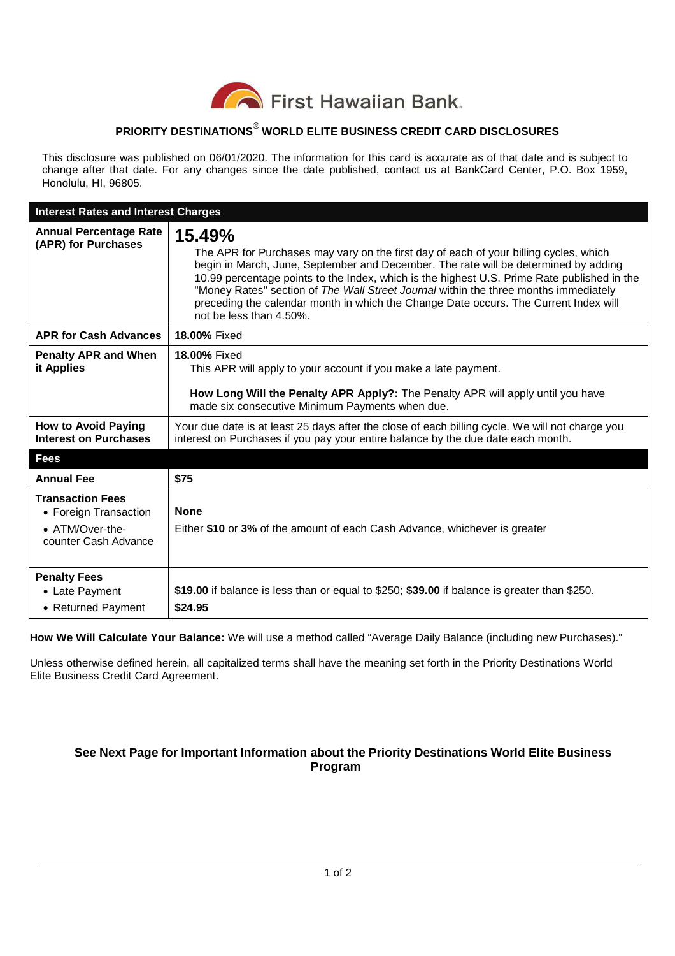

## **PRIORITY DESTINATIONS® WORLD ELITE BUSINESS CREDIT CARD DISCLOSURES**

This disclosure was published on 06/01/2020. The information for this card is accurate as of that date and is subject to change after that date. For any changes since the date published, contact us at BankCard Center, P.O. Box 1959, Honolulu, HI, 96805.

| <b>Interest Rates and Interest Charges</b>                                                  |                                                                                                                                                                                                                                                                                                                                                                                                                                                                                                  |
|---------------------------------------------------------------------------------------------|--------------------------------------------------------------------------------------------------------------------------------------------------------------------------------------------------------------------------------------------------------------------------------------------------------------------------------------------------------------------------------------------------------------------------------------------------------------------------------------------------|
| <b>Annual Percentage Rate</b><br>(APR) for Purchases                                        | 15.49%<br>The APR for Purchases may vary on the first day of each of your billing cycles, which<br>begin in March, June, September and December. The rate will be determined by adding<br>10.99 percentage points to the Index, which is the highest U.S. Prime Rate published in the<br>"Money Rates" section of The Wall Street Journal within the three months immediately<br>preceding the calendar month in which the Change Date occurs. The Current Index will<br>not be less than 4.50%. |
| <b>APR for Cash Advances</b>                                                                | 18.00% Fixed                                                                                                                                                                                                                                                                                                                                                                                                                                                                                     |
| <b>Penalty APR and When</b><br>it Applies                                                   | 18.00% Fixed<br>This APR will apply to your account if you make a late payment.<br>How Long Will the Penalty APR Apply?: The Penalty APR will apply until you have<br>made six consecutive Minimum Payments when due.                                                                                                                                                                                                                                                                            |
| <b>How to Avoid Paying</b><br><b>Interest on Purchases</b>                                  | Your due date is at least 25 days after the close of each billing cycle. We will not charge you<br>interest on Purchases if you pay your entire balance by the due date each month.                                                                                                                                                                                                                                                                                                              |
| <b>Fees</b>                                                                                 |                                                                                                                                                                                                                                                                                                                                                                                                                                                                                                  |
| <b>Annual Fee</b>                                                                           | \$75                                                                                                                                                                                                                                                                                                                                                                                                                                                                                             |
| <b>Transaction Fees</b><br>• Foreign Transaction<br>• ATM/Over-the-<br>counter Cash Advance | <b>None</b><br>Either \$10 or 3% of the amount of each Cash Advance, whichever is greater                                                                                                                                                                                                                                                                                                                                                                                                        |
| <b>Penalty Fees</b><br>• Late Payment<br>• Returned Payment                                 | \$19.00 if balance is less than or equal to \$250; \$39.00 if balance is greater than \$250.<br>\$24.95                                                                                                                                                                                                                                                                                                                                                                                          |

**How We Will Calculate Your Balance:** We will use a method called "Average Daily Balance (including new Purchases)."

Unless otherwise defined herein, all capitalized terms shall have the meaning set forth in the Priority Destinations World Elite Business Credit Card Agreement.

## **See Next Page for Important Information about the Priority Destinations World Elite Business Program**